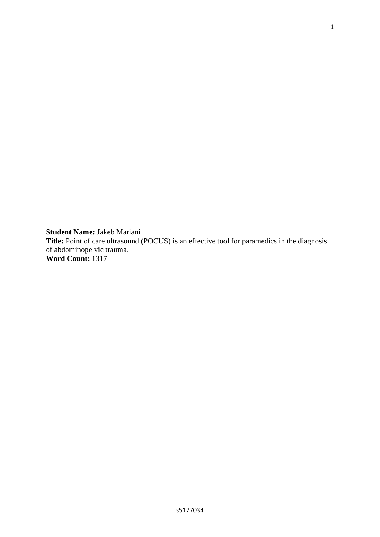**Student Name:** Jakeb Mariani **Title:** Point of care ultrasound (POCUS) is an effective tool for paramedics in the diagnosis of abdominopelvic trauma. **Word Count:** 1317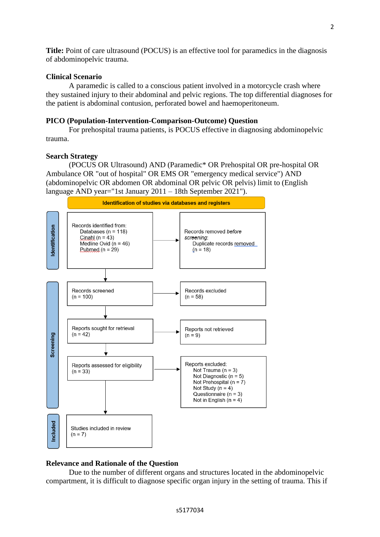**Title:** Point of care ultrasound (POCUS) is an effective tool for paramedics in the diagnosis of abdominopelvic trauma.

## **Clinical Scenario**

A paramedic is called to a conscious patient involved in a motorcycle crash where they sustained injury to their abdominal and pelvic regions. The top differential diagnoses for the patient is abdominal contusion, perforated bowel and haemoperitoneum.

### **PICO (Population-Intervention-Comparison-Outcome) Question**

For prehospital trauma patients, is POCUS effective in diagnosing abdominopelvic trauma.

#### **Search Strategy**

(POCUS OR Ultrasound) AND (Paramedic\* OR Prehospital OR pre-hospital OR Ambulance OR "out of hospital" OR EMS OR "emergency medical service") AND (abdominopelvic OR abdomen OR abdominal OR pelvic OR pelvis) limit to (English language AND year="1st January 2011 – 18th September 2021").



## **Relevance and Rationale of the Question**

Due to the number of different organs and structures located in the abdominopelvic compartment, it is difficult to diagnose specific organ injury in the setting of trauma. This if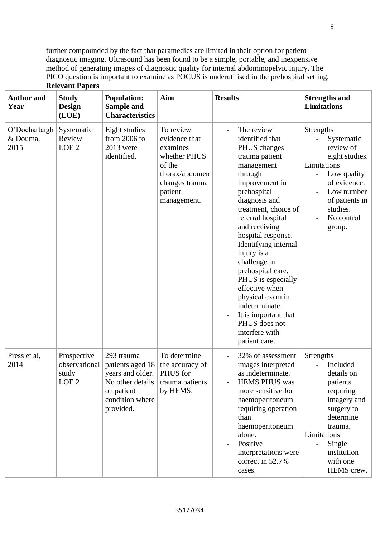further compounded by the fact that paramedics are limited in their option for patient diagnostic imaging. Ultrasound has been found to be a simple, portable, and inexpensive method of generating images of diagnostic quality for internal abdominopelvic injury. The PICO question is important to examine as POCUS is underutilised in the prehospital setting, **Relevant Papers**

| <b>Author</b> and<br>Year         | <b>Study</b><br><b>Design</b><br>(LOE)                    | <b>Population:</b><br>Sample and<br><b>Characteristics</b>                                                           | Aim                                                                                                                            | <b>Results</b>                                                                                                                                                                                                                                                                                                                                                                                                                                                       | <b>Strengths and</b><br><b>Limitations</b>                                                                                                                                                                      |
|-----------------------------------|-----------------------------------------------------------|----------------------------------------------------------------------------------------------------------------------|--------------------------------------------------------------------------------------------------------------------------------|----------------------------------------------------------------------------------------------------------------------------------------------------------------------------------------------------------------------------------------------------------------------------------------------------------------------------------------------------------------------------------------------------------------------------------------------------------------------|-----------------------------------------------------------------------------------------------------------------------------------------------------------------------------------------------------------------|
| O'Dochartaigh<br>& Douma,<br>2015 | Systematic<br>Review<br>LOE <sub>2</sub>                  | Eight studies<br>from 2006 to<br>2013 were<br>identified.                                                            | To review<br>evidence that<br>examines<br>whether PHUS<br>of the<br>thorax/abdomen<br>changes trauma<br>patient<br>management. | The review<br>identified that<br>PHUS changes<br>trauma patient<br>management<br>through<br>improvement in<br>prehospital<br>diagnosis and<br>treatment, choice of<br>referral hospital<br>and receiving<br>hospital response.<br>Identifying internal<br>injury is a<br>challenge in<br>prehospital care.<br>PHUS is especially<br>effective when<br>physical exam in<br>indeterminate.<br>It is important that<br>PHUS does not<br>interfere with<br>patient care. | <b>Strengths</b><br>Systematic<br>review of<br>eight studies.<br>Limitations<br>Low quality<br>of evidence.<br>Low number<br>of patients in<br>studies.<br>No control<br>group.                                 |
| Press et al,<br>2014              | Prospective<br>observational<br>study<br>LOE <sub>2</sub> | 293 trauma<br>patients aged 18<br>years and older.<br>No other details<br>on patient<br>condition where<br>provided. | To determine<br>the accuracy of<br>PHUS for<br>trauma patients<br>by HEMS.                                                     | 32% of assessment<br>images interpreted<br>as indeterminate<br><b>HEMS PHUS was</b><br>more sensitive for<br>haemoperitoneum<br>requiring operation<br>than<br>haemoperitoneum<br>alone.<br>Positive<br>interpretations were<br>correct in 52.7%<br>cases.                                                                                                                                                                                                           | Strengths<br>Included<br>details on<br>patients<br>requiring<br>imagery and<br>surgery to<br>determine<br>trauma.<br>Limitations<br>Single<br>$\overline{\phantom{0}}$<br>institution<br>with one<br>HEMS crew. |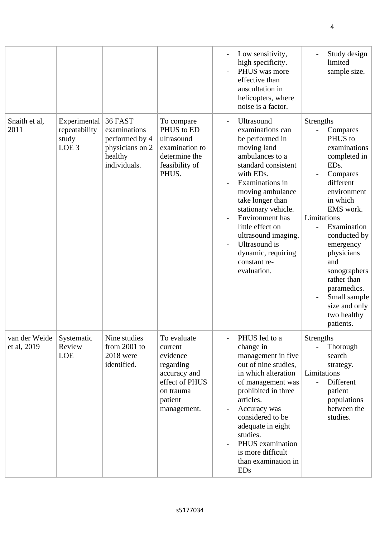|                              |                                                            |                                                                                         |                                                                                                                          | Low sensitivity,<br>-<br>high specificity.<br>PHUS was more<br>effective than<br>auscultation in<br>helicopters, where<br>noise is a factor.                                                                                                                                                                                                                                                                      | Study design<br>limited<br>sample size.                                                                                                                                                                                                                                                                                                                  |
|------------------------------|------------------------------------------------------------|-----------------------------------------------------------------------------------------|--------------------------------------------------------------------------------------------------------------------------|-------------------------------------------------------------------------------------------------------------------------------------------------------------------------------------------------------------------------------------------------------------------------------------------------------------------------------------------------------------------------------------------------------------------|----------------------------------------------------------------------------------------------------------------------------------------------------------------------------------------------------------------------------------------------------------------------------------------------------------------------------------------------------------|
| Snaith et al,<br>2011        | Experimental<br>repeatability<br>study<br>LOE <sub>3</sub> | 36 FAST<br>examinations<br>performed by 4<br>physicians on 2<br>healthy<br>individuals. | To compare<br>PHUS to ED<br>ultrasound<br>examination to<br>determine the<br>feasibility of<br>PHUS.                     | Ultrasound<br>-<br>examinations can<br>be performed in<br>moving land<br>ambulances to a<br>standard consistent<br>with EDs.<br>Examinations in<br>moving ambulance<br>take longer than<br>stationary vehicle.<br>Environment has<br>$\overline{\phantom{0}}$<br>little effect on<br>ultrasound imaging.<br><b>Ultrasound</b> is<br>$\overline{\phantom{0}}$<br>dynamic, requiring<br>constant re-<br>evaluation. | <b>Strengths</b><br>Compares<br>PHUS to<br>examinations<br>completed in<br>ED <sub>s</sub> .<br>Compares<br>different<br>environment<br>in which<br>EMS work.<br>Limitations<br>Examination<br>conducted by<br>emergency<br>physicians<br>and<br>sonographers<br>rather than<br>paramedics.<br>Small sample<br>size and only<br>two healthy<br>patients. |
| van der Weide<br>et al, 2019 | Systematic<br>Review<br>LOE                                | Nine studies<br>from $2001$ to<br><b>2018</b> were<br>identified.                       | To evaluate<br>current<br>evidence<br>regarding<br>accuracy and<br>effect of PHUS<br>on trauma<br>patient<br>management. | PHUS led to a<br>$\overline{a}$<br>change in<br>management in five<br>out of nine studies,<br>in which alteration<br>of management was<br>prohibited in three<br>articles.<br>Accuracy was<br>$\qquad \qquad -$<br>considered to be<br>adequate in eight<br>studies.<br>PHUS examination<br>$\overline{\phantom{0}}$<br>is more difficult<br>than examination in<br><b>EDs</b>                                    | Strengths<br>Thorough<br>search<br>strategy.<br>Limitations<br>Different<br>patient<br>populations<br>between the<br>studies.                                                                                                                                                                                                                            |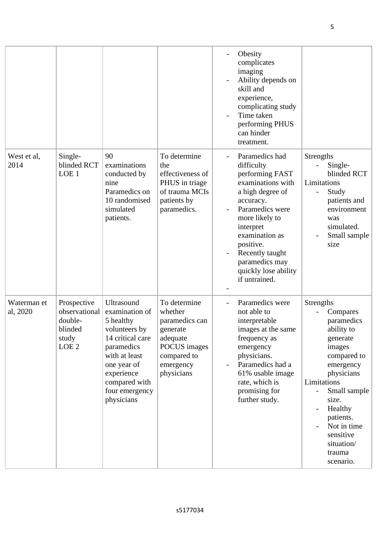|                         |                                                                                 |                                                                                                                                                                                             |                                                                                                                             | Obesity<br>$\overline{\phantom{0}}$<br>complicates<br>imaging<br>Ability depends on<br>skill and<br>experience,<br>complicating study<br>Time taken<br>performing PHUS<br>can hinder<br>treatment.                                                                   |                                                                                                                                                                                                                                                    |
|-------------------------|---------------------------------------------------------------------------------|---------------------------------------------------------------------------------------------------------------------------------------------------------------------------------------------|-----------------------------------------------------------------------------------------------------------------------------|----------------------------------------------------------------------------------------------------------------------------------------------------------------------------------------------------------------------------------------------------------------------|----------------------------------------------------------------------------------------------------------------------------------------------------------------------------------------------------------------------------------------------------|
| West et al,<br>2014     | Single-<br>blinded RCT<br>LOE 1                                                 | 90<br>examinations<br>conducted by<br>nine<br>Paramedics on<br>10 randomised<br>simulated<br>patients.                                                                                      | To determine<br>the<br>effectiveness of<br>PHUS in triage<br>of trauma MCIs<br>patients by<br>paramedics.                   | Paramedics had<br>difficulty<br>performing FAST<br>examinations with<br>a high degree of<br>accuracy.<br>Paramedics were<br>more likely to<br>interpret<br>examination as<br>positive.<br>Recently taught<br>paramedics may<br>quickly lose ability<br>if untrained. | Strengths<br>Single-<br>blinded RCT<br>Limitations<br>Study<br>patients and<br>environment<br>was<br>simulated.<br>Small sample<br>size                                                                                                            |
| Waterman et<br>al, 2020 | Prospective<br>observational<br>double-<br>blinded<br>study<br>LOE <sub>2</sub> | Ultrasound<br>examination of<br>5 healthy<br>volunteers by<br>14 critical care<br>paramedics<br>with at least<br>one year of<br>experience<br>compared with<br>four emergency<br>physicians | To determine<br>whether<br>paramedics can<br>generate<br>adequate<br>POCUS images<br>compared to<br>emergency<br>physicians | Paramedics were<br>not able to<br>interpretable<br>images at the same<br>frequency as<br>emergency<br>physicians.<br>Paramedics had a<br>61% usable image<br>rate, which is<br>promising for<br>further study.                                                       | Strengths<br>Compares<br>paramedics<br>ability to<br>generate<br>images<br>compared to<br>emergency<br>physicians<br>Limitations<br>Small sample<br>size.<br>Healthy<br>patients.<br>Not in time<br>sensitive<br>situation/<br>trauma<br>scenario. |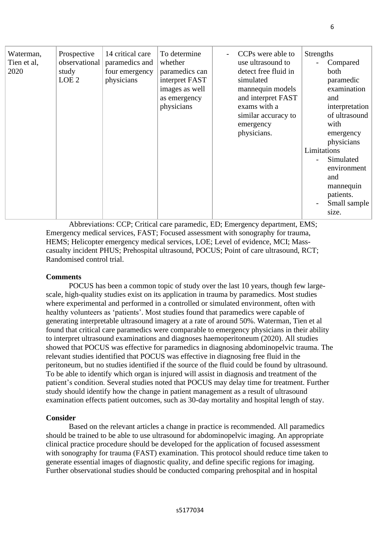| Waterman,<br>Tien et al,<br>2020 | Prospective<br>observational<br>study<br>LOE <sub>2</sub> | 14 critical care<br>paramedics and<br>four emergency<br>physicians | To determine<br>whether<br>paramedics can<br>interpret FAST<br>images as well<br>as emergency<br>physicians | CCPs were able to<br>use ultrasound to<br>detect free fluid in<br>simulated<br>mannequin models<br>and interpret FAST<br>exams with a<br>similar accuracy to<br>emergency<br>physicians. | Strengths<br>Compared<br>both<br>paramedic<br>examination<br>and<br>interpretation<br>of ultrasound<br>with<br>emergency<br>physicians<br>Limitations<br>Simulated<br>environment<br>and<br>mannequin<br>patients.<br>Small sample<br>size. |
|----------------------------------|-----------------------------------------------------------|--------------------------------------------------------------------|-------------------------------------------------------------------------------------------------------------|------------------------------------------------------------------------------------------------------------------------------------------------------------------------------------------|---------------------------------------------------------------------------------------------------------------------------------------------------------------------------------------------------------------------------------------------|

Abbreviations: CCP; Critical care paramedic, ED; Emergency department, EMS; Emergency medical services, FAST; Focused assessment with sonography for trauma, HEMS; Helicopter emergency medical services, LOE; Level of evidence, MCI; Masscasualty incident PHUS; Prehospital ultrasound, POCUS; Point of care ultrasound, RCT; Randomised control trial.

# **Comments**

POCUS has been a common topic of study over the last 10 years, though few largescale, high-quality studies exist on its application in trauma by paramedics. Most studies where experimental and performed in a controlled or simulated environment, often with healthy volunteers as 'patients'. Most studies found that paramedics were capable of generating interpretable ultrasound imagery at a rate of around 50%. Waterman, Tien et al found that critical care paramedics were comparable to emergency physicians in their ability to interpret ultrasound examinations and diagnoses haemoperitoneum (2020). All studies showed that POCUS was effective for paramedics in diagnosing abdominopelvic trauma. The relevant studies identified that POCUS was effective in diagnosing free fluid in the peritoneum, but no studies identified if the source of the fluid could be found by ultrasound. To be able to identify which organ is injured will assist in diagnosis and treatment of the patient's condition. Several studies noted that POCUS may delay time for treatment. Further study should identify how the change in patient management as a result of ultrasound examination effects patient outcomes, such as 30-day mortality and hospital length of stay.

## **Consider**

Based on the relevant articles a change in practice is recommended. All paramedics should be trained to be able to use ultrasound for abdominopelvic imaging. An appropriate clinical practice procedure should be developed for the application of focused assessment with sonography for trauma (FAST) examination. This protocol should reduce time taken to generate essential images of diagnostic quality, and define specific regions for imaging. Further observational studies should be conducted comparing prehospital and in hospital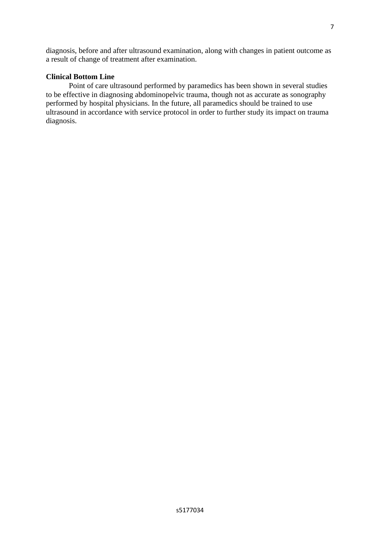diagnosis, before and after ultrasound examination, along with changes in patient outcome as a result of change of treatment after examination.

# **Clinical Bottom Line**

Point of care ultrasound performed by paramedics has been shown in several studies to be effective in diagnosing abdominopelvic trauma, though not as accurate as sonography performed by hospital physicians. In the future, all paramedics should be trained to use ultrasound in accordance with service protocol in order to further study its impact on trauma diagnosis.